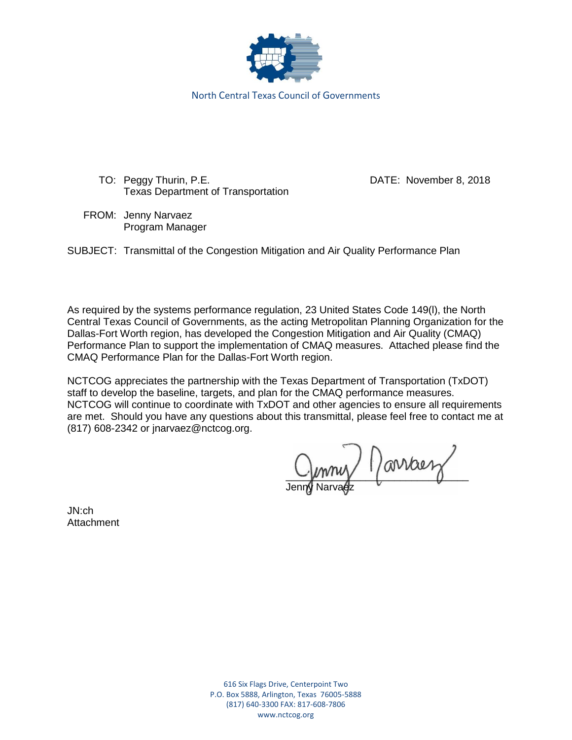

TO: Peggy Thurin, P.E. DATE: November 8, 2018 Texas Department of Transportation

FROM: Jenny Narvaez Program Manager

SUBJECT: Transmittal of the Congestion Mitigation and Air Quality Performance Plan

As required by the systems performance regulation, 23 United States Code 149(l), the North Central Texas Council of Governments, as the acting Metropolitan Planning Organization for the Dallas-Fort Worth region, has developed the Congestion Mitigation and Air Quality (CMAQ) Performance Plan to support the implementation of CMAQ measures. Attached please find the CMAQ Performance Plan for the Dallas-Fort Worth region.

NCTCOG appreciates the partnership with the Texas Department of Transportation (TxDOT) staff to develop the baseline, targets, and plan for the CMAQ performance measures. NCTCOG will continue to coordinate with TxDOT and other agencies to ensure all requirements are met. Should you have any questions about this transmittal, please feel free to contact me at (817) 608-2342 or jnarvaez@nctcog.org.

 $Q$   $\sim$   $Q$   $\sim$   $Q$ Jenn**y** Narvaez

JN:ch Attachment

> 616 Six Flags Drive, Centerpoint Two P.O. Box 5888, Arlington, Texas 76005-5888 (817) 640-3300 FAX: 817-608-7806 www.nctcog.org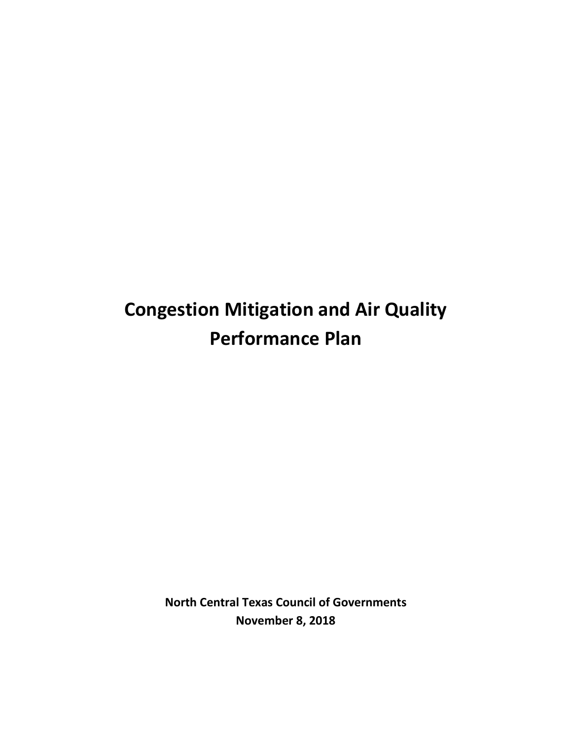# **Congestion Mitigation and Air Quality Performance Plan**

**North Central Texas Council of Governments November 8, 2018**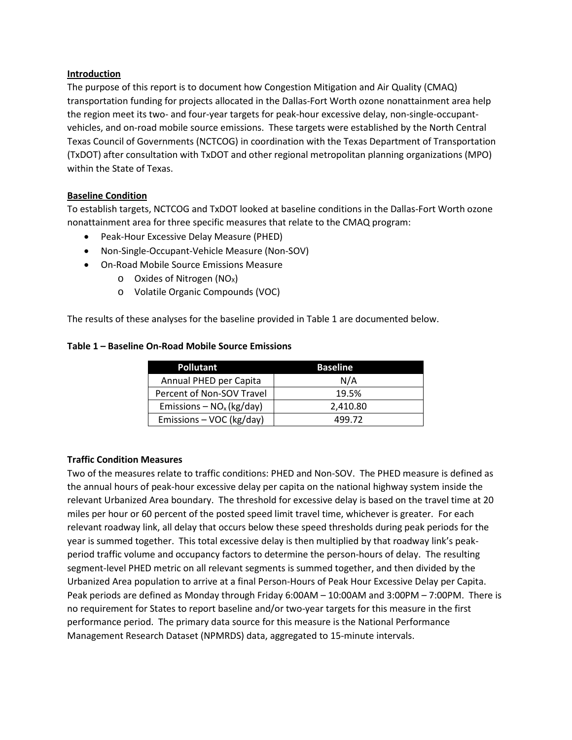#### **Introduction**

The purpose of this report is to document how Congestion Mitigation and Air Quality (CMAQ) transportation funding for projects allocated in the Dallas-Fort Worth ozone nonattainment area help the region meet its two- and four-year targets for peak-hour excessive delay, non-single-occupantvehicles, and on-road mobile source emissions. These targets were established by the North Central Texas Council of Governments (NCTCOG) in coordination with the Texas Department of Transportation (TxDOT) after consultation with TxDOT and other regional metropolitan planning organizations (MPO) within the State of Texas.

## **Baseline Condition**

To establish targets, NCTCOG and TxDOT looked at baseline conditions in the Dallas-Fort Worth ozone nonattainment area for three specific measures that relate to the CMAQ program:

- Peak-Hour Excessive Delay Measure (PHED)
- Non-Single-Occupant-Vehicle Measure (Non-SOV)
- On-Road Mobile Source Emissions Measure
	- $\circ$  Oxides of Nitrogen (NO<sub>x</sub>)
	- o Volatile Organic Compounds (VOC)

The results of these analyses for the baseline provided in Table 1 are documented below.

#### **Table 1 – Baseline On-Road Mobile Source Emissions**

| <b>Pollutant</b>            | <b>Baseline</b> |
|-----------------------------|-----------------|
| Annual PHED per Capita      | N/A             |
| Percent of Non-SOV Travel   | 19.5%           |
| Emissions – $NO_x$ (kg/day) | 2,410.80        |
| Emissions - VOC (kg/day)    | 499.72          |

## **Traffic Condition Measures**

Two of the measures relate to traffic conditions: PHED and Non-SOV. The PHED measure is defined as the annual hours of peak-hour excessive delay per capita on the national highway system inside the relevant Urbanized Area boundary. The threshold for excessive delay is based on the travel time at 20 miles per hour or 60 percent of the posted speed limit travel time, whichever is greater. For each relevant roadway link, all delay that occurs below these speed thresholds during peak periods for the year is summed together. This total excessive delay is then multiplied by that roadway link's peakperiod traffic volume and occupancy factors to determine the person-hours of delay. The resulting segment-level PHED metric on all relevant segments is summed together, and then divided by the Urbanized Area population to arrive at a final Person-Hours of Peak Hour Excessive Delay per Capita. Peak periods are defined as Monday through Friday 6:00AM – 10:00AM and 3:00PM – 7:00PM. There is no requirement for States to report baseline and/or two-year targets for this measure in the first performance period. The primary data source for this measure is the National Performance Management Research Dataset (NPMRDS) data, aggregated to 15-minute intervals.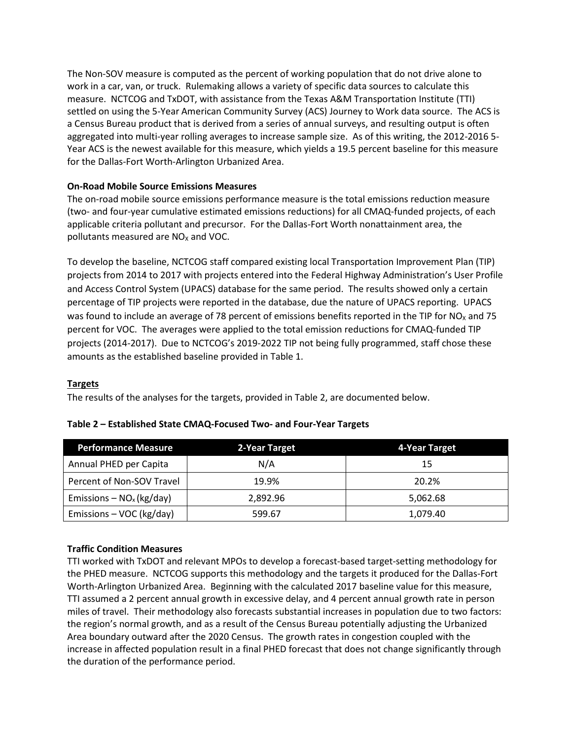The Non-SOV measure is computed as the percent of working population that do not drive alone to work in a car, van, or truck. Rulemaking allows a variety of specific data sources to calculate this measure. NCTCOG and TxDOT, with assistance from the Texas A&M Transportation Institute (TTI) settled on using the 5-Year American Community Survey (ACS) Journey to Work data source. The ACS is a Census Bureau product that is derived from a series of annual surveys, and resulting output is often aggregated into multi-year rolling averages to increase sample size. As of this writing, the 2012-2016 5- Year ACS is the newest available for this measure, which yields a 19.5 percent baseline for this measure for the Dallas-Fort Worth-Arlington Urbanized Area.

## **On-Road Mobile Source Emissions Measures**

The on-road mobile source emissions performance measure is the total emissions reduction measure (two- and four-year cumulative estimated emissions reductions) for all CMAQ-funded projects, of each applicable criteria pollutant and precursor. For the Dallas-Fort Worth nonattainment area, the pollutants measured are  $NO<sub>x</sub>$  and VOC.

To develop the baseline, NCTCOG staff compared existing local Transportation Improvement Plan (TIP) projects from 2014 to 2017 with projects entered into the Federal Highway Administration's User Profile and Access Control System (UPACS) database for the same period. The results showed only a certain percentage of TIP projects were reported in the database, due the nature of UPACS reporting. UPACS was found to include an average of 78 percent of emissions benefits reported in the TIP for  $NO<sub>x</sub>$  and 75 percent for VOC. The averages were applied to the total emission reductions for CMAQ-funded TIP projects (2014-2017). Due to NCTCOG's 2019-2022 TIP not being fully programmed, staff chose these amounts as the established baseline provided in Table 1.

## **Targets**

The results of the analyses for the targets, provided in Table 2, are documented below.

| <b>Performance Measure</b>  | 2-Year Target | 4-Year Target |
|-----------------------------|---------------|---------------|
| Annual PHED per Capita      | N/A           | 15            |
| Percent of Non-SOV Travel   | 19.9%         | 20.2%         |
| Emissions – $NO_x$ (kg/day) | 2.892.96      | 5,062.68      |
| Emissions – VOC (kg/day)    | 599.67        | 1,079.40      |

## **Table 2 – Established State CMAQ-Focused Two- and Four-Year Targets**

## **Traffic Condition Measures**

TTI worked with TxDOT and relevant MPOs to develop a forecast-based target-setting methodology for the PHED measure. NCTCOG supports this methodology and the targets it produced for the Dallas-Fort Worth-Arlington Urbanized Area. Beginning with the calculated 2017 baseline value for this measure, TTI assumed a 2 percent annual growth in excessive delay, and 4 percent annual growth rate in person miles of travel. Their methodology also forecasts substantial increases in population due to two factors: the region's normal growth, and as a result of the Census Bureau potentially adjusting the Urbanized Area boundary outward after the 2020 Census. The growth rates in congestion coupled with the increase in affected population result in a final PHED forecast that does not change significantly through the duration of the performance period.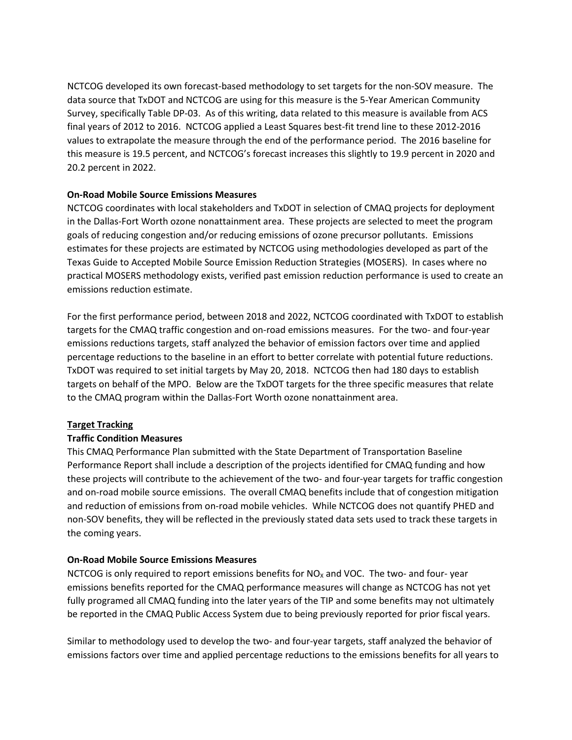NCTCOG developed its own forecast-based methodology to set targets for the non-SOV measure. The data source that TxDOT and NCTCOG are using for this measure is the 5-Year American Community Survey, specifically Table DP-03. As of this writing, data related to this measure is available from ACS final years of 2012 to 2016. NCTCOG applied a Least Squares best-fit trend line to these 2012-2016 values to extrapolate the measure through the end of the performance period. The 2016 baseline for this measure is 19.5 percent, and NCTCOG's forecast increases this slightly to 19.9 percent in 2020 and 20.2 percent in 2022.

## **On-Road Mobile Source Emissions Measures**

NCTCOG coordinates with local stakeholders and TxDOT in selection of CMAQ projects for deployment in the Dallas-Fort Worth ozone nonattainment area. These projects are selected to meet the program goals of reducing congestion and/or reducing emissions of ozone precursor pollutants. Emissions estimates for these projects are estimated by NCTCOG using methodologies developed as part of the Texas Guide to Accepted Mobile Source Emission Reduction Strategies (MOSERS). In cases where no practical MOSERS methodology exists, verified past emission reduction performance is used to create an emissions reduction estimate.

For the first performance period, between 2018 and 2022, NCTCOG coordinated with TxDOT to establish targets for the CMAQ traffic congestion and on-road emissions measures. For the two- and four-year emissions reductions targets, staff analyzed the behavior of emission factors over time and applied percentage reductions to the baseline in an effort to better correlate with potential future reductions. TxDOT was required to set initial targets by May 20, 2018. NCTCOG then had 180 days to establish targets on behalf of the MPO. Below are the TxDOT targets for the three specific measures that relate to the CMAQ program within the Dallas-Fort Worth ozone nonattainment area.

## **Target Tracking**

## **Traffic Condition Measures**

This CMAQ Performance Plan submitted with the State Department of Transportation Baseline Performance Report shall include a description of the projects identified for CMAQ funding and how these projects will contribute to the achievement of the two- and four-year targets for traffic congestion and on-road mobile source emissions. The overall CMAQ benefits include that of congestion mitigation and reduction of emissions from on-road mobile vehicles. While NCTCOG does not quantify PHED and non-SOV benefits, they will be reflected in the previously stated data sets used to track these targets in the coming years.

## **On-Road Mobile Source Emissions Measures**

NCTCOG is only required to report emissions benefits for  $NO<sub>x</sub>$  and VOC. The two- and four- year emissions benefits reported for the CMAQ performance measures will change as NCTCOG has not yet fully programed all CMAQ funding into the later years of the TIP and some benefits may not ultimately be reported in the CMAQ Public Access System due to being previously reported for prior fiscal years.

Similar to methodology used to develop the two- and four-year targets, staff analyzed the behavior of emissions factors over time and applied percentage reductions to the emissions benefits for all years to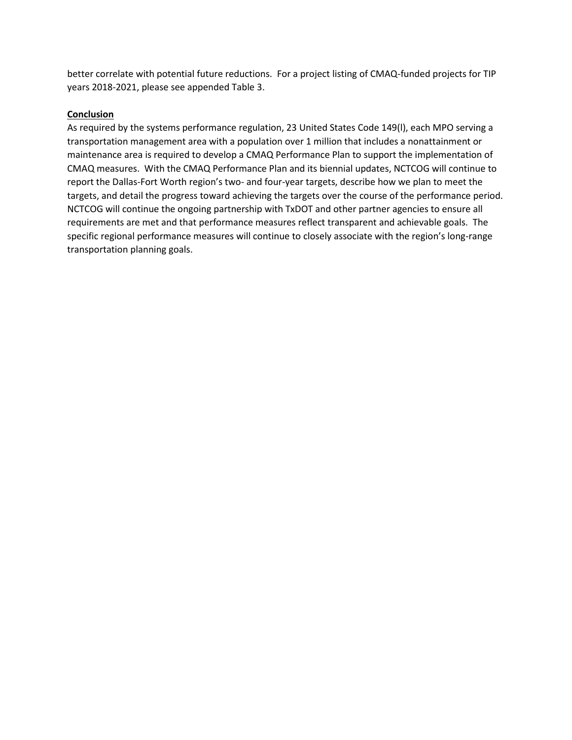better correlate with potential future reductions. For a project listing of CMAQ-funded projects for TIP years 2018-2021, please see appended Table 3.

# **Conclusion**

As required by the systems performance regulation, 23 United States Code 149(l), each MPO serving a transportation management area with a population over 1 million that includes a nonattainment or maintenance area is required to develop a CMAQ Performance Plan to support the implementation of CMAQ measures. With the CMAQ Performance Plan and its biennial updates, NCTCOG will continue to report the Dallas-Fort Worth region's two- and four-year targets, describe how we plan to meet the targets, and detail the progress toward achieving the targets over the course of the performance period. NCTCOG will continue the ongoing partnership with TxDOT and other partner agencies to ensure all requirements are met and that performance measures reflect transparent and achievable goals. The specific regional performance measures will continue to closely associate with the region's long-range transportation planning goals.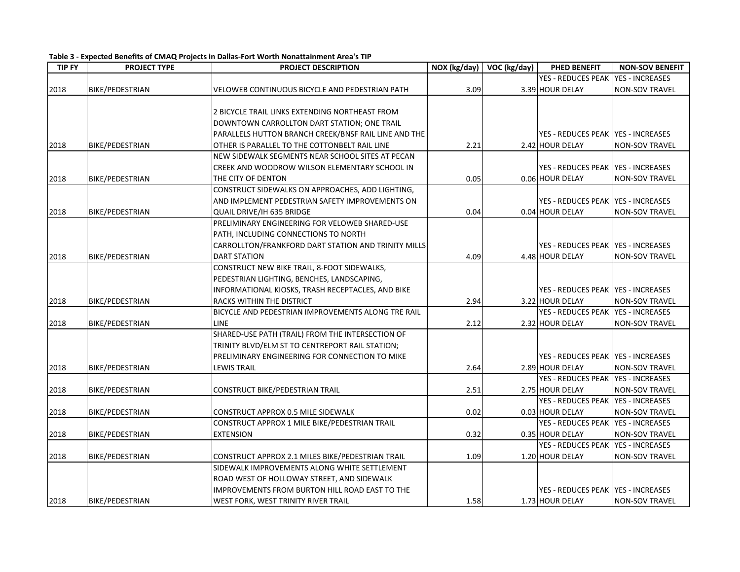| <b>TIP FY</b> | <b>PROJECT TYPE</b>    | PROJECT DESCRIPTION                                  | NOX (kg/day) | $\overline{VOC}$ (kg/day) | <b>PHED BENEFIT</b>                  | <b>NON-SOV BENEFIT</b> |
|---------------|------------------------|------------------------------------------------------|--------------|---------------------------|--------------------------------------|------------------------|
|               |                        |                                                      |              |                           | YES - REDUCES PEAK                   | <b>YES - INCREASES</b> |
| 2018          | BIKE/PEDESTRIAN        | VELOWEB CONTINUOUS BICYCLE AND PEDESTRIAN PATH       | 3.09         |                           | 3.39 HOUR DELAY                      | <b>NON-SOV TRAVEL</b>  |
|               |                        |                                                      |              |                           |                                      |                        |
|               |                        | 2 BICYCLE TRAIL LINKS EXTENDING NORTHEAST FROM       |              |                           |                                      |                        |
|               |                        | DOWNTOWN CARROLLTON DART STATION; ONE TRAIL          |              |                           |                                      |                        |
|               |                        | PARALLELS HUTTON BRANCH CREEK/BNSF RAIL LINE AND THE |              |                           | YES - REDUCES PEAK   YES - INCREASES |                        |
| 2018          | BIKE/PEDESTRIAN        | OTHER IS PARALLEL TO THE COTTONBELT RAIL LINE        | 2.21         |                           | 2.42 HOUR DELAY                      | <b>NON-SOV TRAVEL</b>  |
|               |                        | NEW SIDEWALK SEGMENTS NEAR SCHOOL SITES AT PECAN     |              |                           |                                      |                        |
|               |                        | CREEK AND WOODROW WILSON ELEMENTARY SCHOOL IN        |              |                           | YES - REDUCES PEAK YES - INCREASES   |                        |
| 2018          | <b>BIKE/PEDESTRIAN</b> | THE CITY OF DENTON                                   | 0.05         |                           | 0.06 HOUR DELAY                      | <b>NON-SOV TRAVEL</b>  |
|               |                        | CONSTRUCT SIDEWALKS ON APPROACHES, ADD LIGHTING,     |              |                           |                                      |                        |
|               |                        | AND IMPLEMENT PEDESTRIAN SAFETY IMPROVEMENTS ON      |              |                           | YES - REDUCES PEAK   YES - INCREASES |                        |
| 2018          | BIKE/PEDESTRIAN        | QUAIL DRIVE/IH 635 BRIDGE                            | 0.04         |                           | 0.04 HOUR DELAY                      | <b>NON-SOV TRAVEL</b>  |
|               |                        | PRELIMINARY ENGINEERING FOR VELOWEB SHARED-USE       |              |                           |                                      |                        |
|               |                        | PATH, INCLUDING CONNECTIONS TO NORTH                 |              |                           |                                      |                        |
|               |                        | CARROLLTON/FRANKFORD DART STATION AND TRINITY MILLS  |              |                           | YES - REDUCES PEAK   YES - INCREASES |                        |
| 2018          | BIKE/PEDESTRIAN        | <b>DART STATION</b>                                  | 4.09         |                           | 4.48 HOUR DELAY                      | <b>NON-SOV TRAVEL</b>  |
|               |                        | CONSTRUCT NEW BIKE TRAIL, 8-FOOT SIDEWALKS,          |              |                           |                                      |                        |
|               |                        | PEDESTRIAN LIGHTING, BENCHES, LANDSCAPING,           |              |                           |                                      |                        |
|               |                        | INFORMATIONAL KIOSKS, TRASH RECEPTACLES, AND BIKE    |              |                           | YES - REDUCES PEAK IYES - INCREASES  |                        |
| 2018          | BIKE/PEDESTRIAN        | RACKS WITHIN THE DISTRICT                            | 2.94         |                           | 3.22 HOUR DELAY                      | <b>NON-SOV TRAVEL</b>  |
|               |                        | BICYCLE AND PEDESTRIAN IMPROVEMENTS ALONG TRE RAIL   |              |                           | YES - REDUCES PEAK   YES - INCREASES |                        |
| 2018          | BIKE/PEDESTRIAN        | <b>LINE</b>                                          | 2.12         |                           | 2.32 HOUR DELAY                      | <b>NON-SOV TRAVEL</b>  |
|               |                        | SHARED-USE PATH (TRAIL) FROM THE INTERSECTION OF     |              |                           |                                      |                        |
|               |                        | TRINITY BLVD/ELM ST TO CENTREPORT RAIL STATION;      |              |                           |                                      |                        |
|               |                        | PRELIMINARY ENGINEERING FOR CONNECTION TO MIKE       |              |                           | YES - REDUCES PEAK   YES - INCREASES |                        |
| 2018          | BIKE/PEDESTRIAN        | <b>LEWIS TRAIL</b>                                   | 2.64         |                           | 2.89 HOUR DELAY                      | <b>NON-SOV TRAVEL</b>  |
|               |                        |                                                      |              |                           | <b>YES - REDUCES PEAK</b>            | <b>YES - INCREASES</b> |
| 2018          | BIKE/PEDESTRIAN        | CONSTRUCT BIKE/PEDESTRIAN TRAIL                      | 2.51         |                           | 2.75 HOUR DELAY                      | <b>NON-SOV TRAVEL</b>  |
|               |                        |                                                      |              |                           | <b>YES - REDUCES PEAK</b>            | <b>YES - INCREASES</b> |
| 2018          | BIKE/PEDESTRIAN        | CONSTRUCT APPROX 0.5 MILE SIDEWALK                   | 0.02         |                           | 0.03 HOUR DELAY                      | <b>NON-SOV TRAVEL</b>  |
|               |                        | CONSTRUCT APPROX 1 MILE BIKE/PEDESTRIAN TRAIL        |              |                           | YES - REDUCES PEAK   YES - INCREASES |                        |
| 2018          | BIKE/PEDESTRIAN        | <b>EXTENSION</b>                                     | 0.32         |                           | 0.35 HOUR DELAY                      | <b>NON-SOV TRAVEL</b>  |
|               |                        |                                                      |              |                           | YES - REDUCES PEAK   YES - INCREASES |                        |
| 2018          | BIKE/PEDESTRIAN        | CONSTRUCT APPROX 2.1 MILES BIKE/PEDESTRIAN TRAIL     | 1.09         |                           | 1.20 HOUR DELAY                      | <b>NON-SOV TRAVEL</b>  |
|               |                        | SIDEWALK IMPROVEMENTS ALONG WHITE SETTLEMENT         |              |                           |                                      |                        |
|               |                        | ROAD WEST OF HOLLOWAY STREET, AND SIDEWALK           |              |                           |                                      |                        |
|               |                        | IMPROVEMENTS FROM BURTON HILL ROAD EAST TO THE       |              |                           | YES - REDUCES PEAK   YES - INCREASES |                        |
| 2018          | <b>BIKE/PEDESTRIAN</b> | WEST FORK, WEST TRINITY RIVER TRAIL                  | 1.58         |                           | 1.73 HOUR DELAY                      | <b>NON-SOV TRAVEL</b>  |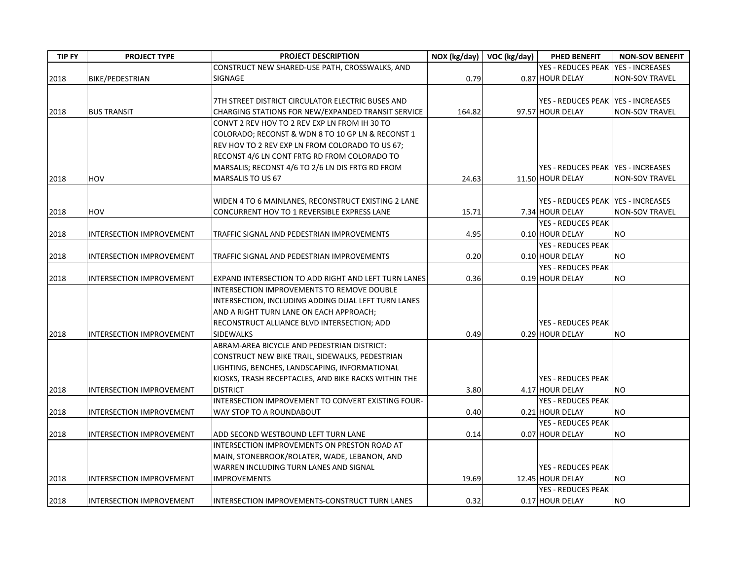| <b>TIP FY</b> | <b>PROJECT TYPE</b>             | PROJECT DESCRIPTION                                  |        | $NOX (kg/day)$ VOC (kg/day) | PHED BENEFIT                        | <b>NON-SOV BENEFIT</b> |
|---------------|---------------------------------|------------------------------------------------------|--------|-----------------------------|-------------------------------------|------------------------|
|               |                                 | CONSTRUCT NEW SHARED-USE PATH, CROSSWALKS, AND       |        |                             | <b>YES - REDUCES PEAK</b>           | <b>YES - INCREASES</b> |
| 2018          | BIKE/PEDESTRIAN                 | SIGNAGE                                              | 0.79   |                             | 0.87 HOUR DELAY                     | <b>NON-SOV TRAVEL</b>  |
|               |                                 |                                                      |        |                             |                                     |                        |
|               |                                 | 7TH STREET DISTRICT CIRCULATOR ELECTRIC BUSES AND    |        |                             | YES - REDUCES PEAK YES - INCREASES  |                        |
| 2018          | <b>BUS TRANSIT</b>              | CHARGING STATIONS FOR NEW/EXPANDED TRANSIT SERVICE   | 164.82 |                             | 97.57 HOUR DELAY                    | <b>NON-SOV TRAVEL</b>  |
|               |                                 | CONVT 2 REV HOV TO 2 REV EXP LN FROM IH 30 TO        |        |                             |                                     |                        |
|               |                                 | COLORADO; RECONST & WDN 8 TO 10 GP LN & RECONST 1    |        |                             |                                     |                        |
|               |                                 | REV HOV TO 2 REV EXP LN FROM COLORADO TO US 67;      |        |                             |                                     |                        |
|               |                                 | RECONST 4/6 LN CONT FRTG RD FROM COLORADO TO         |        |                             |                                     |                        |
|               |                                 | MARSALIS; RECONST 4/6 TO 2/6 LN DIS FRTG RD FROM     |        |                             | YES - REDUCES PEAK YES - INCREASES  |                        |
| 2018          | <b>HOV</b>                      | MARSALIS TO US 67                                    | 24.63  |                             | 11.50 HOUR DELAY                    | NON-SOV TRAVEL         |
|               |                                 |                                                      |        |                             |                                     |                        |
|               |                                 | WIDEN 4 TO 6 MAINLANES, RECONSTRUCT EXISTING 2 LANE  |        |                             | YES - REDUCES PEAK IYES - INCREASES |                        |
| 2018          | HOV                             | CONCURRENT HOV TO 1 REVERSIBLE EXPRESS LANE          | 15.71  |                             | 7.34 HOUR DELAY                     | <b>NON-SOV TRAVEL</b>  |
|               |                                 |                                                      |        |                             | <b>YES - REDUCES PEAK</b>           |                        |
| 2018          | INTERSECTION IMPROVEMENT        | TRAFFIC SIGNAL AND PEDESTRIAN IMPROVEMENTS           | 4.95   |                             | 0.10 HOUR DELAY                     | <b>NO</b>              |
|               |                                 |                                                      |        |                             | <b>YES - REDUCES PEAK</b>           |                        |
| 2018          | INTERSECTION IMPROVEMENT        | TRAFFIC SIGNAL AND PEDESTRIAN IMPROVEMENTS           | 0.20   |                             | 0.10 HOUR DELAY                     | <b>NO</b>              |
|               |                                 |                                                      |        |                             | YES - REDUCES PEAK                  |                        |
| 2018          | INTERSECTION IMPROVEMENT        | EXPAND INTERSECTION TO ADD RIGHT AND LEFT TURN LANES | 0.36   |                             | 0.19 HOUR DELAY                     | <b>NO</b>              |
|               |                                 | INTERSECTION IMPROVEMENTS TO REMOVE DOUBLE           |        |                             |                                     |                        |
|               |                                 | INTERSECTION, INCLUDING ADDING DUAL LEFT TURN LANES  |        |                             |                                     |                        |
|               |                                 | AND A RIGHT TURN LANE ON EACH APPROACH;              |        |                             |                                     |                        |
|               |                                 | RECONSTRUCT ALLIANCE BLVD INTERSECTION; ADD          |        |                             | <b>YES - REDUCES PEAK</b>           |                        |
| 2018          | <b>INTERSECTION IMPROVEMENT</b> | <b>SIDEWALKS</b>                                     | 0.49   |                             | 0.29 HOUR DELAY                     | NO.                    |
|               |                                 | ABRAM-AREA BICYCLE AND PEDESTRIAN DISTRICT:          |        |                             |                                     |                        |
|               |                                 | CONSTRUCT NEW BIKE TRAIL, SIDEWALKS, PEDESTRIAN      |        |                             |                                     |                        |
|               |                                 | LIGHTING, BENCHES, LANDSCAPING, INFORMATIONAL        |        |                             |                                     |                        |
|               |                                 | KIOSKS, TRASH RECEPTACLES, AND BIKE RACKS WITHIN THE |        |                             | <b>YES - REDUCES PEAK</b>           |                        |
| 2018          | INTERSECTION IMPROVEMENT        | <b>DISTRICT</b>                                      | 3.80   |                             | 4.17 HOUR DELAY                     | <b>NO</b>              |
|               |                                 | INTERSECTION IMPROVEMENT TO CONVERT EXISTING FOUR-   |        |                             | <b>YES - REDUCES PEAK</b>           |                        |
| 2018          | INTERSECTION IMPROVEMENT        | WAY STOP TO A ROUNDABOUT                             | 0.40   |                             | 0.21 HOUR DELAY                     | <b>NO</b>              |
|               |                                 |                                                      |        |                             | YES - REDUCES PEAK                  |                        |
| 2018          | <b>INTERSECTION IMPROVEMENT</b> | ADD SECOND WESTBOUND LEFT TURN LANE                  | 0.14   |                             | 0.07 HOUR DELAY                     | <b>NO</b>              |
|               |                                 | INTERSECTION IMPROVEMENTS ON PRESTON ROAD AT         |        |                             |                                     |                        |
|               |                                 | MAIN, STONEBROOK/ROLATER, WADE, LEBANON, AND         |        |                             |                                     |                        |
|               |                                 | WARREN INCLUDING TURN LANES AND SIGNAL               |        |                             | <b>YES - REDUCES PEAK</b>           |                        |
| 2018          | INTERSECTION IMPROVEMENT        | <b>IMPROVEMENTS</b>                                  | 19.69  |                             | 12.45 HOUR DELAY                    | <b>NO</b>              |
|               |                                 |                                                      |        |                             | <b>YES - REDUCES PEAK</b>           |                        |
| 2018          | INTERSECTION IMPROVEMENT        | INTERSECTION IMPROVEMENTS-CONSTRUCT TURN LANES       | 0.32   |                             | 0.17 HOUR DELAY                     | <b>NO</b>              |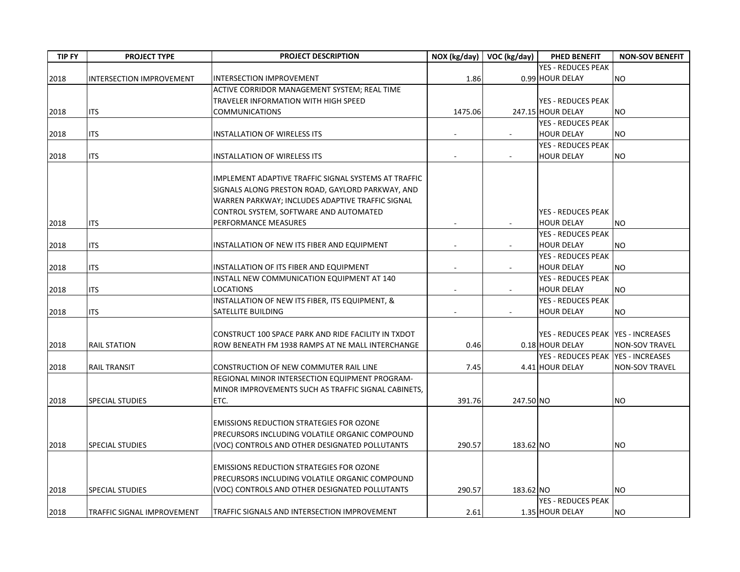| <b>TIP FY</b> | <b>PROJECT TYPE</b>        | <b>PROJECT DESCRIPTION</b>                            | NOX (kg/day)             | VOC (kg/day) | PHED BENEFIT                         | <b>NON-SOV BENEFIT</b> |
|---------------|----------------------------|-------------------------------------------------------|--------------------------|--------------|--------------------------------------|------------------------|
|               |                            |                                                       |                          |              | <b>YES - REDUCES PEAK</b>            |                        |
| 2018          | INTERSECTION IMPROVEMENT   | <b>INTERSECTION IMPROVEMENT</b>                       | 1.86                     |              | 0.99 HOUR DELAY                      | <b>NO</b>              |
|               |                            | ACTIVE CORRIDOR MANAGEMENT SYSTEM; REAL TIME          |                          |              |                                      |                        |
|               |                            | TRAVELER INFORMATION WITH HIGH SPEED                  |                          |              | <b>YES - REDUCES PEAK</b>            |                        |
| 2018          | <b>ITS</b>                 | <b>COMMUNICATIONS</b>                                 | 1475.06                  |              | 247.15 HOUR DELAY                    | <b>NO</b>              |
|               |                            |                                                       |                          |              | <b>YES - REDUCES PEAK</b>            |                        |
| 2018          | <b>ITS</b>                 | <b>INSTALLATION OF WIRELESS ITS</b>                   | $\overline{\phantom{a}}$ |              | <b>HOUR DELAY</b>                    | <b>NO</b>              |
|               |                            |                                                       |                          |              | <b>YES - REDUCES PEAK</b>            |                        |
| 2018          | <b>ITS</b>                 | <b>INSTALLATION OF WIRELESS ITS</b>                   |                          |              | <b>HOUR DELAY</b>                    | <b>NO</b>              |
|               |                            |                                                       |                          |              |                                      |                        |
|               |                            | IMPLEMENT ADAPTIVE TRAFFIC SIGNAL SYSTEMS AT TRAFFIC  |                          |              |                                      |                        |
|               |                            | SIGNALS ALONG PRESTON ROAD, GAYLORD PARKWAY, AND      |                          |              |                                      |                        |
|               |                            | WARREN PARKWAY; INCLUDES ADAPTIVE TRAFFIC SIGNAL      |                          |              |                                      |                        |
|               |                            | CONTROL SYSTEM, SOFTWARE AND AUTOMATED                |                          |              | <b>YES - REDUCES PEAK</b>            |                        |
| 2018          | <b>ITS</b>                 | PERFORMANCE MEASURES                                  |                          |              | <b>HOUR DELAY</b>                    | <b>NO</b>              |
|               |                            |                                                       |                          |              | <b>YES - REDUCES PEAK</b>            |                        |
|               | <b>ITS</b>                 |                                                       |                          |              |                                      | <b>NO</b>              |
| 2018          |                            | INSTALLATION OF NEW ITS FIBER AND EQUIPMENT           |                          |              | <b>HOUR DELAY</b>                    |                        |
|               |                            |                                                       |                          |              | <b>YES - REDUCES PEAK</b>            |                        |
| 2018          | <b>ITS</b>                 | INSTALLATION OF ITS FIBER AND EQUIPMENT               |                          |              | <b>HOUR DELAY</b>                    | <b>NO</b>              |
|               |                            | INSTALL NEW COMMUNICATION EQUIPMENT AT 140            |                          |              | <b>YES - REDUCES PEAK</b>            |                        |
| 2018          | <b>ITS</b>                 | <b>LOCATIONS</b>                                      | $\overline{\phantom{a}}$ |              | <b>HOUR DELAY</b>                    | <b>NO</b>              |
|               |                            | INSTALLATION OF NEW ITS FIBER, ITS EQUIPMENT, &       |                          |              | <b>YES - REDUCES PEAK</b>            |                        |
| 2018          | <b>ITS</b>                 | SATELLITE BUILDING                                    |                          |              | <b>HOUR DELAY</b>                    | NO.                    |
|               |                            |                                                       |                          |              |                                      |                        |
|               |                            | CONSTRUCT 100 SPACE PARK AND RIDE FACILITY IN TXDOT   |                          |              | YES - REDUCES PEAK   YES - INCREASES |                        |
| 2018          | <b>RAIL STATION</b>        | ROW BENEATH FM 1938 RAMPS AT NE MALL INTERCHANGE      | 0.46                     |              | 0.18 HOUR DELAY                      | <b>NON-SOV TRAVEL</b>  |
|               |                            |                                                       |                          |              | YES - REDUCES PEAK   YES - INCREASES |                        |
| 2018          | <b>RAIL TRANSIT</b>        | CONSTRUCTION OF NEW COMMUTER RAIL LINE                | 7.45                     |              | 4.41 HOUR DELAY                      | <b>NON-SOV TRAVEL</b>  |
|               |                            | <b>REGIONAL MINOR INTERSECTION EQUIPMENT PROGRAM-</b> |                          |              |                                      |                        |
|               |                            | MINOR IMPROVEMENTS SUCH AS TRAFFIC SIGNAL CABINETS,   |                          |              |                                      |                        |
| 2018          | <b>SPECIAL STUDIES</b>     | ETC.                                                  | 391.76                   | 247.50 NO    |                                      | <b>NO</b>              |
|               |                            |                                                       |                          |              |                                      |                        |
|               |                            | <b>EMISSIONS REDUCTION STRATEGIES FOR OZONE</b>       |                          |              |                                      |                        |
|               |                            | PRECURSORS INCLUDING VOLATILE ORGANIC COMPOUND        |                          |              |                                      |                        |
| 2018          | <b>SPECIAL STUDIES</b>     | (VOC) CONTROLS AND OTHER DESIGNATED POLLUTANTS        | 290.57                   | 183.62 NO    |                                      | <b>NO</b>              |
|               |                            |                                                       |                          |              |                                      |                        |
|               |                            | <b>EMISSIONS REDUCTION STRATEGIES FOR OZONE</b>       |                          |              |                                      |                        |
|               |                            | PRECURSORS INCLUDING VOLATILE ORGANIC COMPOUND        |                          |              |                                      |                        |
| 2018          | <b>SPECIAL STUDIES</b>     | (VOC) CONTROLS AND OTHER DESIGNATED POLLUTANTS        | 290.57                   | 183.62 NO    |                                      | <b>NO</b>              |
|               |                            |                                                       |                          |              | <b>YES - REDUCES PEAK</b>            |                        |
| 2018          | TRAFFIC SIGNAL IMPROVEMENT | TRAFFIC SIGNALS AND INTERSECTION IMPROVEMENT          | 2.61                     |              | 1.35 HOUR DELAY                      | <b>NO</b>              |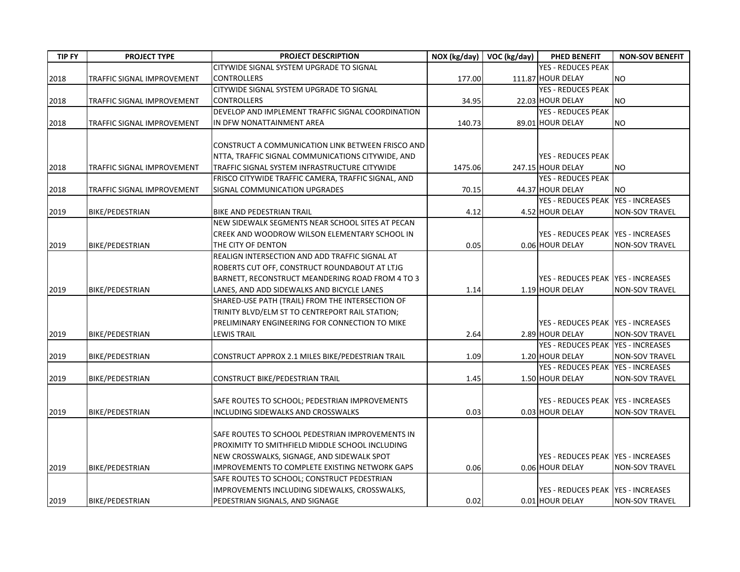| <b>TIP FY</b> | <b>PROJECT TYPE</b>        | PROJECT DESCRIPTION                                 | NOX (kg/day) | VOC (kg/day) | PHED BENEFIT                         | <b>NON-SOV BENEFIT</b> |
|---------------|----------------------------|-----------------------------------------------------|--------------|--------------|--------------------------------------|------------------------|
|               |                            | CITYWIDE SIGNAL SYSTEM UPGRADE TO SIGNAL            |              |              | <b>YES - REDUCES PEAK</b>            |                        |
| 2018          | TRAFFIC SIGNAL IMPROVEMENT | <b>CONTROLLERS</b>                                  | 177.00       |              | 111.87 HOUR DELAY                    | <b>NO</b>              |
|               |                            | CITYWIDE SIGNAL SYSTEM UPGRADE TO SIGNAL            |              |              | <b>YES - REDUCES PEAK</b>            |                        |
| 2018          | TRAFFIC SIGNAL IMPROVEMENT | <b>CONTROLLERS</b>                                  | 34.95        |              | 22.03 HOUR DELAY                     | <b>NO</b>              |
|               |                            | DEVELOP AND IMPLEMENT TRAFFIC SIGNAL COORDINATION   |              |              | <b>YES - REDUCES PEAK</b>            |                        |
| 2018          | TRAFFIC SIGNAL IMPROVEMENT | IN DFW NONATTAINMENT AREA                           | 140.73       |              | 89.01 HOUR DELAY                     | <b>NO</b>              |
|               |                            |                                                     |              |              |                                      |                        |
|               |                            | CONSTRUCT A COMMUNICATION LINK BETWEEN FRISCO AND   |              |              |                                      |                        |
|               |                            | NTTA, TRAFFIC SIGNAL COMMUNICATIONS CITYWIDE, AND   |              |              | <b>YES - REDUCES PEAK</b>            |                        |
| 2018          | TRAFFIC SIGNAL IMPROVEMENT | TRAFFIC SIGNAL SYSTEM INFRASTRUCTURE CITYWIDE       | 1475.06      |              | 247.15 HOUR DELAY                    | <b>NO</b>              |
|               |                            | FRISCO CITYWIDE TRAFFIC CAMERA, TRAFFIC SIGNAL, AND |              |              | <b>YES - REDUCES PEAK</b>            |                        |
| 2018          | TRAFFIC SIGNAL IMPROVEMENT | SIGNAL COMMUNICATION UPGRADES                       | 70.15        |              | 44.37 HOUR DELAY                     | <b>NO</b>              |
|               |                            |                                                     |              |              | YES - REDUCES PEAK YES - INCREASES   |                        |
| 2019          | BIKE/PEDESTRIAN            | BIKE AND PEDESTRIAN TRAIL                           | 4.12         |              | 4.52 HOUR DELAY                      | <b>NON-SOV TRAVEL</b>  |
|               |                            | NEW SIDEWALK SEGMENTS NEAR SCHOOL SITES AT PECAN    |              |              |                                      |                        |
|               |                            | CREEK AND WOODROW WILSON ELEMENTARY SCHOOL IN       |              |              | YES - REDUCES PEAK   YES - INCREASES |                        |
| 2019          | BIKE/PEDESTRIAN            | THE CITY OF DENTON                                  | 0.05         |              | 0.06 HOUR DELAY                      | <b>NON-SOV TRAVEL</b>  |
|               |                            | REALIGN INTERSECTION AND ADD TRAFFIC SIGNAL AT      |              |              |                                      |                        |
|               |                            | ROBERTS CUT OFF, CONSTRUCT ROUNDABOUT AT LTJG       |              |              |                                      |                        |
|               |                            | BARNETT, RECONSTRUCT MEANDERING ROAD FROM 4 TO 3    |              |              | YES - REDUCES PEAK   YES - INCREASES |                        |
| 2019          | BIKE/PEDESTRIAN            | LANES, AND ADD SIDEWALKS AND BICYCLE LANES          | 1.14         |              | 1.19 HOUR DELAY                      | <b>NON-SOV TRAVEL</b>  |
|               |                            | SHARED-USE PATH (TRAIL) FROM THE INTERSECTION OF    |              |              |                                      |                        |
|               |                            | TRINITY BLVD/ELM ST TO CENTREPORT RAIL STATION;     |              |              |                                      |                        |
|               |                            | PRELIMINARY ENGINEERING FOR CONNECTION TO MIKE      |              |              | YES - REDUCES PEAK YES - INCREASES   |                        |
| 2019          | BIKE/PEDESTRIAN            | <b>LEWIS TRAIL</b>                                  | 2.64         |              | 2.89 HOUR DELAY                      | <b>NON-SOV TRAVEL</b>  |
|               |                            |                                                     |              |              | <b>YES - REDUCES PEAK</b>            | <b>YES - INCREASES</b> |
| 2019          | BIKE/PEDESTRIAN            | CONSTRUCT APPROX 2.1 MILES BIKE/PEDESTRIAN TRAIL    | 1.09         |              | 1.20 HOUR DELAY                      | <b>NON-SOV TRAVEL</b>  |
|               |                            |                                                     |              |              | YES - REDUCES PEAK YES - INCREASES   |                        |
| 2019          | BIKE/PEDESTRIAN            | CONSTRUCT BIKE/PEDESTRIAN TRAIL                     | 1.45         |              | 1.50 HOUR DELAY                      | <b>NON-SOV TRAVEL</b>  |
|               |                            |                                                     |              |              |                                      |                        |
|               |                            | SAFE ROUTES TO SCHOOL; PEDESTRIAN IMPROVEMENTS      |              |              | YES - REDUCES PEAK   YES - INCREASES |                        |
| 2019          | BIKE/PEDESTRIAN            | INCLUDING SIDEWALKS AND CROSSWALKS                  | 0.03         |              | 0.03 HOUR DELAY                      | <b>NON-SOV TRAVEL</b>  |
|               |                            |                                                     |              |              |                                      |                        |
|               |                            | SAFE ROUTES TO SCHOOL PEDESTRIAN IMPROVEMENTS IN    |              |              |                                      |                        |
|               |                            | PROXIMITY TO SMITHFIELD MIDDLE SCHOOL INCLUDING     |              |              |                                      |                        |
|               |                            | NEW CROSSWALKS, SIGNAGE, AND SIDEWALK SPOT          |              |              | YES - REDUCES PEAK   YES - INCREASES |                        |
| 2019          | BIKE/PEDESTRIAN            | IMPROVEMENTS TO COMPLETE EXISTING NETWORK GAPS      | 0.06         |              | 0.06 HOUR DELAY                      | <b>NON-SOV TRAVEL</b>  |
|               |                            | SAFE ROUTES TO SCHOOL; CONSTRUCT PEDESTRIAN         |              |              |                                      |                        |
|               |                            | IMPROVEMENTS INCLUDING SIDEWALKS, CROSSWALKS,       |              |              | YES - REDUCES PEAK   YES - INCREASES |                        |
| 2019          | <b>BIKE/PEDESTRIAN</b>     | PEDESTRIAN SIGNALS, AND SIGNAGE                     | 0.02         |              | 0.01 HOUR DELAY                      | <b>NON-SOV TRAVEL</b>  |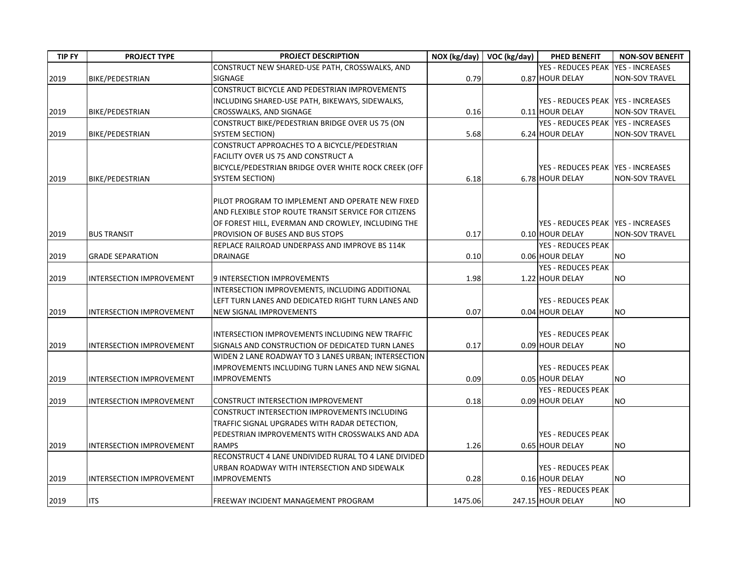| <b>TIP FY</b> | <b>PROJECT TYPE</b>             | PROJECT DESCRIPTION                                                     |         | NOX (kg/day)   VOC (kg/day) | PHED BENEFIT                                 | <b>NON-SOV BENEFIT</b> |
|---------------|---------------------------------|-------------------------------------------------------------------------|---------|-----------------------------|----------------------------------------------|------------------------|
|               |                                 | CONSTRUCT NEW SHARED-USE PATH, CROSSWALKS, AND                          |         |                             | YES - REDUCES PEAK                           | <b>YES - INCREASES</b> |
| 2019          | BIKE/PEDESTRIAN                 | SIGNAGE                                                                 | 0.79    |                             | 0.87 HOUR DELAY                              | <b>NON-SOV TRAVEL</b>  |
|               |                                 | CONSTRUCT BICYCLE AND PEDESTRIAN IMPROVEMENTS                           |         |                             |                                              |                        |
|               |                                 | INCLUDING SHARED-USE PATH, BIKEWAYS, SIDEWALKS,                         |         |                             | YES - REDUCES PEAK YES - INCREASES           |                        |
| 2019          | BIKE/PEDESTRIAN                 | CROSSWALKS, AND SIGNAGE                                                 | 0.16    |                             | 0.11 HOUR DELAY                              | <b>NON-SOV TRAVEL</b>  |
|               |                                 | CONSTRUCT BIKE/PEDESTRIAN BRIDGE OVER US 75 (ON                         |         |                             | YES - REDUCES PEAK   YES - INCREASES         |                        |
| 2019          | <b>BIKE/PEDESTRIAN</b>          | <b>SYSTEM SECTION)</b>                                                  | 5.68    |                             | 6.24 HOUR DELAY                              | <b>NON-SOV TRAVEL</b>  |
|               |                                 | CONSTRUCT APPROACHES TO A BICYCLE/PEDESTRIAN                            |         |                             |                                              |                        |
|               |                                 | FACILITY OVER US 75 AND CONSTRUCT A                                     |         |                             |                                              |                        |
|               |                                 | BICYCLE/PEDESTRIAN BRIDGE OVER WHITE ROCK CREEK (OFF                    |         |                             | YES - REDUCES PEAK   YES - INCREASES         |                        |
| 2019          | <b>BIKE/PEDESTRIAN</b>          | <b>SYSTEM SECTION)</b>                                                  | 6.18    |                             | 6.78 HOUR DELAY                              | <b>NON-SOV TRAVEL</b>  |
|               |                                 | PILOT PROGRAM TO IMPLEMENT AND OPERATE NEW FIXED                        |         |                             |                                              |                        |
|               |                                 | AND FLEXIBLE STOP ROUTE TRANSIT SERVICE FOR CITIZENS                    |         |                             |                                              |                        |
|               |                                 | OF FOREST HILL, EVERMAN AND CROWLEY, INCLUDING THE                      |         |                             | YES - REDUCES PEAK IYES - INCREASES          |                        |
| 2019          | <b>BUS TRANSIT</b>              | PROVISION OF BUSES AND BUS STOPS                                        | 0.17    |                             | 0.10 HOUR DELAY                              | <b>NON-SOV TRAVEL</b>  |
|               |                                 | REPLACE RAILROAD UNDERPASS AND IMPROVE BS 114K                          |         |                             | <b>YES - REDUCES PEAK</b>                    |                        |
| 2019          | <b>GRADE SEPARATION</b>         | DRAINAGE                                                                | 0.10    |                             | 0.06 HOUR DELAY                              | <b>NO</b>              |
|               |                                 |                                                                         |         |                             | <b>YES - REDUCES PEAK</b>                    |                        |
| 2019          | <b>INTERSECTION IMPROVEMENT</b> | 9 INTERSECTION IMPROVEMENTS                                             | 1.98    |                             | 1.22 HOUR DELAY                              | <b>NO</b>              |
|               |                                 | INTERSECTION IMPROVEMENTS, INCLUDING ADDITIONAL                         |         |                             |                                              |                        |
|               |                                 | LEFT TURN LANES AND DEDICATED RIGHT TURN LANES AND                      |         |                             | <b>YES - REDUCES PEAK</b>                    |                        |
| 2019          | <b>INTERSECTION IMPROVEMENT</b> | NEW SIGNAL IMPROVEMENTS                                                 | 0.07    |                             | 0.04 HOUR DELAY                              | <b>NO</b>              |
|               |                                 |                                                                         |         |                             |                                              |                        |
|               |                                 | INTERSECTION IMPROVEMENTS INCLUDING NEW TRAFFIC                         |         |                             | YES - REDUCES PEAK                           |                        |
| 2019          | <b>INTERSECTION IMPROVEMENT</b> | SIGNALS AND CONSTRUCTION OF DEDICATED TURN LANES                        | 0.17    |                             | 0.09 HOUR DELAY                              | <b>NO</b>              |
|               |                                 | WIDEN 2 LANE ROADWAY TO 3 LANES URBAN; INTERSECTION                     |         |                             |                                              |                        |
| 2019          |                                 | IMPROVEMENTS INCLUDING TURN LANES AND NEW SIGNAL<br><b>IMPROVEMENTS</b> | 0.09    |                             | <b>YES - REDUCES PEAK</b><br>0.05 HOUR DELAY | <b>NO</b>              |
|               | <b>INTERSECTION IMPROVEMENT</b> |                                                                         |         |                             | <b>YES - REDUCES PEAK</b>                    |                        |
| 2019          | <b>INTERSECTION IMPROVEMENT</b> | CONSTRUCT INTERSECTION IMPROVEMENT                                      | 0.18    |                             | 0.09 HOUR DELAY                              | <b>NO</b>              |
|               |                                 | CONSTRUCT INTERSECTION IMPROVEMENTS INCLUDING                           |         |                             |                                              |                        |
|               |                                 | TRAFFIC SIGNAL UPGRADES WITH RADAR DETECTION,                           |         |                             |                                              |                        |
|               |                                 | PEDESTRIAN IMPROVEMENTS WITH CROSSWALKS AND ADA                         |         |                             | <b>YES - REDUCES PEAK</b>                    |                        |
| 2019          | INTERSECTION IMPROVEMENT        | <b>RAMPS</b>                                                            | 1.26    |                             | 0.65 HOUR DELAY                              | <b>NO</b>              |
|               |                                 | RECONSTRUCT 4 LANE UNDIVIDED RURAL TO 4 LANE DIVIDED                    |         |                             |                                              |                        |
|               |                                 | URBAN ROADWAY WITH INTERSECTION AND SIDEWALK                            |         |                             | YES - REDUCES PEAK                           |                        |
| 2019          | INTERSECTION IMPROVEMENT        | <b>IMPROVEMENTS</b>                                                     | 0.28    |                             | 0.16 HOUR DELAY                              | <b>NO</b>              |
|               |                                 |                                                                         |         |                             | <b>YES - REDUCES PEAK</b>                    |                        |
| 2019          | <b>ITS</b>                      | FREEWAY INCIDENT MANAGEMENT PROGRAM                                     | 1475.06 |                             | 247.15 HOUR DELAY                            | <b>NO</b>              |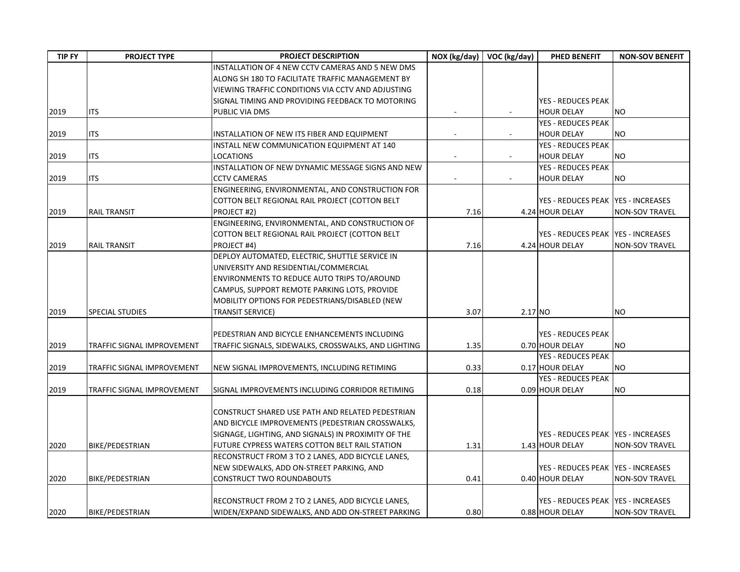| <b>TIP FY</b> | <b>PROJECT TYPE</b>        | PROJECT DESCRIPTION                                  |                | NOX (kg/day) VOC (kg/day) | PHED BENEFIT                         | <b>NON-SOV BENEFIT</b> |
|---------------|----------------------------|------------------------------------------------------|----------------|---------------------------|--------------------------------------|------------------------|
|               |                            | INSTALLATION OF 4 NEW CCTV CAMERAS AND 5 NEW DMS     |                |                           |                                      |                        |
|               |                            | ALONG SH 180 TO FACILITATE TRAFFIC MANAGEMENT BY     |                |                           |                                      |                        |
|               |                            | VIEWING TRAFFIC CONDITIONS VIA CCTV AND ADJUSTING    |                |                           |                                      |                        |
|               |                            | SIGNAL TIMING AND PROVIDING FEEDBACK TO MOTORING     |                |                           | <b>YES - REDUCES PEAK</b>            |                        |
| 2019          | <b>ITS</b>                 | PUBLIC VIA DMS                                       |                |                           | <b>HOUR DELAY</b>                    | <b>NO</b>              |
|               |                            |                                                      |                |                           | <b>YES - REDUCES PEAK</b>            |                        |
| 2019          | ITS                        | INSTALLATION OF NEW ITS FIBER AND EQUIPMENT          | $\blacksquare$ |                           | <b>HOUR DELAY</b>                    | <b>NO</b>              |
|               |                            | INSTALL NEW COMMUNICATION EQUIPMENT AT 140           |                |                           | YES - REDUCES PEAK                   |                        |
| 2019          | <b>ITS</b>                 | LOCATIONS                                            | $\blacksquare$ |                           | <b>HOUR DELAY</b>                    | <b>NO</b>              |
|               |                            | INSTALLATION OF NEW DYNAMIC MESSAGE SIGNS AND NEW    |                |                           | <b>YES - REDUCES PEAK</b>            |                        |
| 2019          | <b>ITS</b>                 | <b>CCTV CAMERAS</b>                                  | $\blacksquare$ |                           | <b>HOUR DELAY</b>                    | NO.                    |
|               |                            | ENGINEERING, ENVIRONMENTAL, AND CONSTRUCTION FOR     |                |                           |                                      |                        |
|               |                            | COTTON BELT REGIONAL RAIL PROJECT (COTTON BELT       |                |                           | YES - REDUCES PEAK YES - INCREASES   |                        |
| 2019          | <b>RAIL TRANSIT</b>        | PROJECT #2)                                          | 7.16           |                           | 4.24 HOUR DELAY                      | <b>NON-SOV TRAVEL</b>  |
|               |                            | ENGINEERING, ENVIRONMENTAL, AND CONSTRUCTION OF      |                |                           |                                      |                        |
|               |                            | COTTON BELT REGIONAL RAIL PROJECT (COTTON BELT       |                |                           | YES - REDUCES PEAK YES - INCREASES   |                        |
| 2019          | <b>RAIL TRANSIT</b>        | PROJECT #4)                                          | 7.16           |                           | 4.24 HOUR DELAY                      | <b>NON-SOV TRAVEL</b>  |
|               |                            | DEPLOY AUTOMATED, ELECTRIC, SHUTTLE SERVICE IN       |                |                           |                                      |                        |
|               |                            | UNIVERSITY AND RESIDENTIAL/COMMERCIAL                |                |                           |                                      |                        |
|               |                            | ENVIRONMENTS TO REDUCE AUTO TRIPS TO/AROUND          |                |                           |                                      |                        |
|               |                            | CAMPUS, SUPPORT REMOTE PARKING LOTS, PROVIDE         |                |                           |                                      |                        |
|               |                            | MOBILITY OPTIONS FOR PEDESTRIANS/DISABLED (NEW       |                |                           |                                      |                        |
| 2019          | <b>SPECIAL STUDIES</b>     | TRANSIT SERVICE)                                     | 3.07           | 2.17 NO                   |                                      | <b>NO</b>              |
|               |                            |                                                      |                |                           |                                      |                        |
|               |                            | PEDESTRIAN AND BICYCLE ENHANCEMENTS INCLUDING        |                |                           | <b>YES - REDUCES PEAK</b>            |                        |
| 2019          | TRAFFIC SIGNAL IMPROVEMENT | TRAFFIC SIGNALS, SIDEWALKS, CROSSWALKS, AND LIGHTING | 1.35           |                           | 0.70 HOUR DELAY                      | <b>NO</b>              |
|               |                            |                                                      |                |                           | <b>YES - REDUCES PEAK</b>            |                        |
| 2019          | TRAFFIC SIGNAL IMPROVEMENT | NEW SIGNAL IMPROVEMENTS, INCLUDING RETIMING          | 0.33           |                           | 0.17 HOUR DELAY                      | <b>NO</b>              |
|               |                            |                                                      |                |                           | <b>YES - REDUCES PEAK</b>            |                        |
| 2019          | TRAFFIC SIGNAL IMPROVEMENT | SIGNAL IMPROVEMENTS INCLUDING CORRIDOR RETIMING      | 0.18           |                           | 0.09 HOUR DELAY                      | <b>NO</b>              |
|               |                            |                                                      |                |                           |                                      |                        |
|               |                            | CONSTRUCT SHARED USE PATH AND RELATED PEDESTRIAN     |                |                           |                                      |                        |
|               |                            | AND BICYCLE IMPROVEMENTS (PEDESTRIAN CROSSWALKS,     |                |                           |                                      |                        |
|               |                            | SIGNAGE, LIGHTING, AND SIGNALS) IN PROXIMITY OF THE  |                |                           | YES - REDUCES PEAK   YES - INCREASES |                        |
| 2020          | BIKE/PEDESTRIAN            | FUTURE CYPRESS WATERS COTTON BELT RAIL STATION       | 1.31           |                           | 1.43 HOUR DELAY                      | <b>NON-SOV TRAVEL</b>  |
|               |                            | RECONSTRUCT FROM 3 TO 2 LANES, ADD BICYCLE LANES,    |                |                           |                                      |                        |
|               |                            | NEW SIDEWALKS, ADD ON-STREET PARKING, AND            |                |                           | YES - REDUCES PEAK   YES - INCREASES |                        |
| 2020          | BIKE/PEDESTRIAN            | <b>CONSTRUCT TWO ROUNDABOUTS</b>                     | 0.41           |                           | 0.40 HOUR DELAY                      | <b>NON-SOV TRAVEL</b>  |
|               |                            |                                                      |                |                           |                                      |                        |
|               |                            | RECONSTRUCT FROM 2 TO 2 LANES, ADD BICYCLE LANES,    |                |                           | YES - REDUCES PEAK YES - INCREASES   |                        |
| 2020          | <b>BIKE/PEDESTRIAN</b>     | WIDEN/EXPAND SIDEWALKS, AND ADD ON-STREET PARKING    | 0.80           |                           | 0.88 HOUR DELAY                      | <b>NON-SOV TRAVEL</b>  |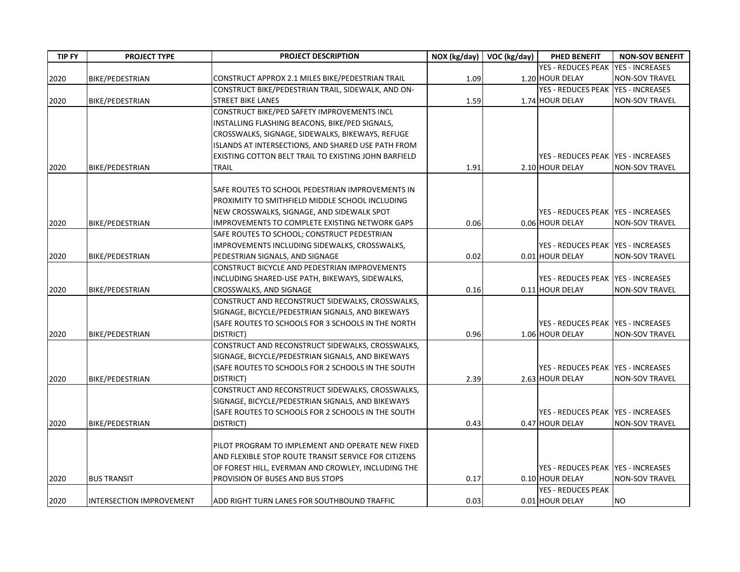| <b>TIP FY</b> | <b>PROJECT TYPE</b>             | PROJECT DESCRIPTION                                                                    | NOX (kg/day) | $\sqrt{OC}$ (kg/day) | PHED BENEFIT                         | <b>NON-SOV BENEFIT</b> |
|---------------|---------------------------------|----------------------------------------------------------------------------------------|--------------|----------------------|--------------------------------------|------------------------|
|               |                                 |                                                                                        |              |                      | YES - REDUCES PEAK                   | <b>YES - INCREASES</b> |
| 2020          | BIKE/PEDESTRIAN                 | CONSTRUCT APPROX 2.1 MILES BIKE/PEDESTRIAN TRAIL                                       | 1.09         |                      | 1.20 HOUR DELAY                      | <b>NON-SOV TRAVEL</b>  |
|               |                                 | CONSTRUCT BIKE/PEDESTRIAN TRAIL, SIDEWALK, AND ON-                                     |              |                      | <b>YES - REDUCES PEAK</b>            | <b>YES - INCREASES</b> |
| 2020          | BIKE/PEDESTRIAN                 | <b>STREET BIKE LANES</b>                                                               | 1.59         |                      | 1.74 HOUR DELAY                      | <b>NON-SOV TRAVEL</b>  |
|               |                                 | CONSTRUCT BIKE/PED SAFETY IMPROVEMENTS INCL                                            |              |                      |                                      |                        |
|               |                                 | INSTALLING FLASHING BEACONS, BIKE/PED SIGNALS,                                         |              |                      |                                      |                        |
|               |                                 | CROSSWALKS, SIGNAGE, SIDEWALKS, BIKEWAYS, REFUGE                                       |              |                      |                                      |                        |
|               |                                 | ISLANDS AT INTERSECTIONS, AND SHARED USE PATH FROM                                     |              |                      |                                      |                        |
|               |                                 | EXISTING COTTON BELT TRAIL TO EXISTING JOHN BARFIELD                                   |              |                      | YES - REDUCES PEAK   YES - INCREASES |                        |
| 2020          | BIKE/PEDESTRIAN                 | TRAIL                                                                                  | 1.91         |                      | 2.10 HOUR DELAY                      | <b>NON-SOV TRAVEL</b>  |
|               |                                 |                                                                                        |              |                      |                                      |                        |
|               |                                 | SAFE ROUTES TO SCHOOL PEDESTRIAN IMPROVEMENTS IN                                       |              |                      |                                      |                        |
|               |                                 | PROXIMITY TO SMITHFIELD MIDDLE SCHOOL INCLUDING                                        |              |                      |                                      |                        |
|               |                                 | NEW CROSSWALKS, SIGNAGE, AND SIDEWALK SPOT                                             |              |                      | YES - REDUCES PEAK   YES - INCREASES |                        |
| 2020          | BIKE/PEDESTRIAN                 | <b>IMPROVEMENTS TO COMPLETE EXISTING NETWORK GAPS</b>                                  | 0.06         |                      | 0.06 HOUR DELAY                      | <b>NON-SOV TRAVEL</b>  |
|               |                                 | SAFE ROUTES TO SCHOOL; CONSTRUCT PEDESTRIAN                                            |              |                      |                                      |                        |
|               |                                 | IMPROVEMENTS INCLUDING SIDEWALKS, CROSSWALKS,                                          |              |                      | YES - REDUCES PEAK   YES - INCREASES |                        |
| 2020          | <b>BIKE/PEDESTRIAN</b>          | PEDESTRIAN SIGNALS, AND SIGNAGE                                                        | 0.02         |                      | 0.01 HOUR DELAY                      | <b>NON-SOV TRAVEL</b>  |
|               |                                 | CONSTRUCT BICYCLE AND PEDESTRIAN IMPROVEMENTS                                          |              |                      |                                      |                        |
|               |                                 | INCLUDING SHARED-USE PATH, BIKEWAYS, SIDEWALKS,                                        |              |                      | YES - REDUCES PEAK   YES - INCREASES |                        |
| 2020          | BIKE/PEDESTRIAN                 | CROSSWALKS, AND SIGNAGE                                                                | 0.16         |                      | 0.11 HOUR DELAY                      | <b>NON-SOV TRAVEL</b>  |
|               |                                 | CONSTRUCT AND RECONSTRUCT SIDEWALKS, CROSSWALKS,                                       |              |                      |                                      |                        |
|               |                                 | SIGNAGE, BICYCLE/PEDESTRIAN SIGNALS, AND BIKEWAYS                                      |              |                      |                                      |                        |
|               |                                 | (SAFE ROUTES TO SCHOOLS FOR 3 SCHOOLS IN THE NORTH                                     |              |                      | YES - REDUCES PEAK   YES - INCREASES |                        |
| 2020          | BIKE/PEDESTRIAN                 | DISTRICT)                                                                              | 0.96         |                      | 1.06 HOUR DELAY                      | <b>NON-SOV TRAVEL</b>  |
|               |                                 | CONSTRUCT AND RECONSTRUCT SIDEWALKS, CROSSWALKS,                                       |              |                      |                                      |                        |
|               |                                 | SIGNAGE, BICYCLE/PEDESTRIAN SIGNALS, AND BIKEWAYS                                      |              |                      |                                      |                        |
|               |                                 | (SAFE ROUTES TO SCHOOLS FOR 2 SCHOOLS IN THE SOUTH                                     |              |                      | YES - REDUCES PEAK   YES - INCREASES |                        |
| 2020          | <b>BIKE/PEDESTRIAN</b>          | DISTRICT)                                                                              | 2.39         |                      | 2.63 HOUR DELAY                      | <b>NON-SOV TRAVEL</b>  |
|               |                                 | CONSTRUCT AND RECONSTRUCT SIDEWALKS, CROSSWALKS,                                       |              |                      |                                      |                        |
|               |                                 | SIGNAGE, BICYCLE/PEDESTRIAN SIGNALS, AND BIKEWAYS                                      |              |                      |                                      |                        |
|               |                                 | (SAFE ROUTES TO SCHOOLS FOR 2 SCHOOLS IN THE SOUTH                                     |              |                      | YES - REDUCES PEAK   YES - INCREASES |                        |
| 2020          | BIKE/PEDESTRIAN                 | DISTRICT)                                                                              | 0.43         |                      | 0.47 HOUR DELAY                      | <b>NON-SOV TRAVEL</b>  |
|               |                                 | PILOT PROGRAM TO IMPLEMENT AND OPERATE NEW FIXED                                       |              |                      |                                      |                        |
|               |                                 | AND FLEXIBLE STOP ROUTE TRANSIT SERVICE FOR CITIZENS                                   |              |                      |                                      |                        |
|               |                                 |                                                                                        |              |                      | YES - REDUCES PEAK YES - INCREASES   |                        |
| 2020          | <b>BUS TRANSIT</b>              | OF FOREST HILL, EVERMAN AND CROWLEY, INCLUDING THE<br>PROVISION OF BUSES AND BUS STOPS | 0.17         |                      | 0.10 HOUR DELAY                      | <b>NON-SOV TRAVEL</b>  |
|               |                                 |                                                                                        |              |                      | <b>YES - REDUCES PEAK</b>            |                        |
| 2020          | <b>INTERSECTION IMPROVEMENT</b> | ADD RIGHT TURN LANES FOR SOUTHBOUND TRAFFIC                                            | 0.03         |                      | 0.01 HOUR DELAY                      | <b>NO</b>              |
|               |                                 |                                                                                        |              |                      |                                      |                        |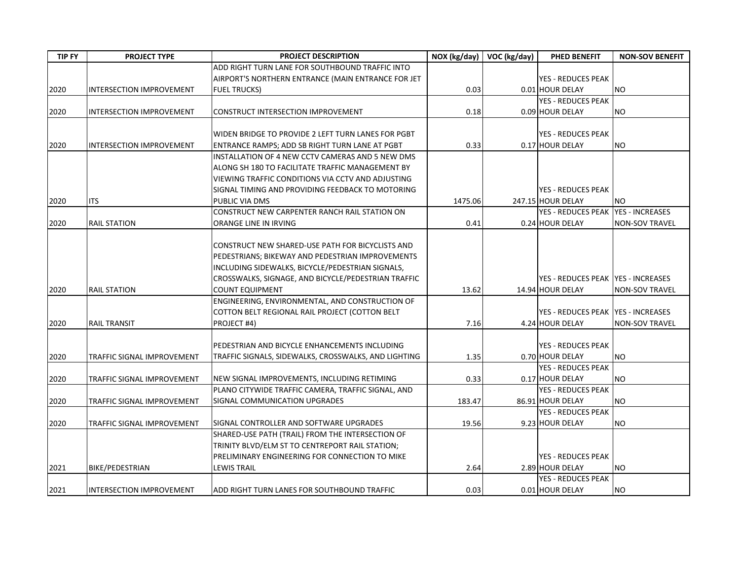| <b>TIP FY</b> | <b>PROJECT TYPE</b>             | PROJECT DESCRIPTION                                  |         | NOX (kg/day)   VOC (kg/day) | PHED BENEFIT                         | <b>NON-SOV BENEFIT</b> |
|---------------|---------------------------------|------------------------------------------------------|---------|-----------------------------|--------------------------------------|------------------------|
|               |                                 | ADD RIGHT TURN LANE FOR SOUTHBOUND TRAFFIC INTO      |         |                             |                                      |                        |
|               |                                 | AIRPORT'S NORTHERN ENTRANCE (MAIN ENTRANCE FOR JET   |         |                             | <b>YES - REDUCES PEAK</b>            |                        |
| 2020          | <b>INTERSECTION IMPROVEMENT</b> | <b>FUEL TRUCKS)</b>                                  | 0.03    |                             | 0.01 HOUR DELAY                      | <b>NO</b>              |
|               |                                 |                                                      |         |                             | <b>YES - REDUCES PEAK</b>            |                        |
| 2020          | <b>INTERSECTION IMPROVEMENT</b> | CONSTRUCT INTERSECTION IMPROVEMENT                   | 0.18    |                             | 0.09 HOUR DELAY                      | <b>NO</b>              |
|               |                                 |                                                      |         |                             |                                      |                        |
|               |                                 | WIDEN BRIDGE TO PROVIDE 2 LEFT TURN LANES FOR PGBT   |         |                             | <b>YES - REDUCES PEAK</b>            |                        |
| 2020          | <b>INTERSECTION IMPROVEMENT</b> | ENTRANCE RAMPS; ADD SB RIGHT TURN LANE AT PGBT       | 0.33    |                             | 0.17 HOUR DELAY                      | <b>NO</b>              |
|               |                                 | INSTALLATION OF 4 NEW CCTV CAMERAS AND 5 NEW DMS     |         |                             |                                      |                        |
|               |                                 | ALONG SH 180 TO FACILITATE TRAFFIC MANAGEMENT BY     |         |                             |                                      |                        |
|               |                                 | VIEWING TRAFFIC CONDITIONS VIA CCTV AND ADJUSTING    |         |                             |                                      |                        |
|               |                                 | SIGNAL TIMING AND PROVIDING FEEDBACK TO MOTORING     |         |                             | <b>YES - REDUCES PEAK</b>            |                        |
| 2020          | <b>ITS</b>                      | PUBLIC VIA DMS                                       | 1475.06 |                             | 247.15 HOUR DELAY                    | <b>NO</b>              |
|               |                                 | CONSTRUCT NEW CARPENTER RANCH RAIL STATION ON        |         |                             | <b>YES - REDUCES PEAK</b>            | <b>YES - INCREASES</b> |
| 2020          | <b>RAIL STATION</b>             | ORANGE LINE IN IRVING                                | 0.41    |                             | 0.24 HOUR DELAY                      | <b>NON-SOV TRAVEL</b>  |
|               |                                 |                                                      |         |                             |                                      |                        |
|               |                                 | CONSTRUCT NEW SHARED-USE PATH FOR BICYCLISTS AND     |         |                             |                                      |                        |
|               |                                 | PEDESTRIANS; BIKEWAY AND PEDESTRIAN IMPROVEMENTS     |         |                             |                                      |                        |
|               |                                 | INCLUDING SIDEWALKS, BICYCLE/PEDESTRIAN SIGNALS,     |         |                             |                                      |                        |
|               |                                 | CROSSWALKS, SIGNAGE, AND BICYCLE/PEDESTRIAN TRAFFIC  |         |                             | YES - REDUCES PEAK   YES - INCREASES |                        |
| 2020          | <b>RAIL STATION</b>             | COUNT EQUIPMENT                                      | 13.62   |                             | 14.94 HOUR DELAY                     | <b>NON-SOV TRAVEL</b>  |
|               |                                 | ENGINEERING, ENVIRONMENTAL, AND CONSTRUCTION OF      |         |                             |                                      |                        |
|               |                                 | COTTON BELT REGIONAL RAIL PROJECT (COTTON BELT       |         |                             | YES - REDUCES PEAK YES - INCREASES   |                        |
| 2020          | <b>RAIL TRANSIT</b>             | PROJECT #4)                                          | 7.16    |                             | 4.24 HOUR DELAY                      | <b>NON-SOV TRAVEL</b>  |
|               |                                 |                                                      |         |                             |                                      |                        |
|               |                                 | PEDESTRIAN AND BICYCLE ENHANCEMENTS INCLUDING        |         |                             | <b>YES - REDUCES PEAK</b>            |                        |
| 2020          | TRAFFIC SIGNAL IMPROVEMENT      | TRAFFIC SIGNALS, SIDEWALKS, CROSSWALKS, AND LIGHTING | 1.35    |                             | 0.70 HOUR DELAY                      | NO.                    |
|               |                                 |                                                      |         |                             | <b>YES - REDUCES PEAK</b>            |                        |
| 2020          | TRAFFIC SIGNAL IMPROVEMENT      | NEW SIGNAL IMPROVEMENTS, INCLUDING RETIMING          | 0.33    |                             | 0.17 HOUR DELAY                      | <b>NO</b>              |
|               |                                 | PLANO CITYWIDE TRAFFIC CAMERA, TRAFFIC SIGNAL, AND   |         |                             | YES - REDUCES PEAK                   |                        |
| 2020          | TRAFFIC SIGNAL IMPROVEMENT      | SIGNAL COMMUNICATION UPGRADES                        | 183.47  |                             | 86.91 HOUR DELAY                     | <b>NO</b>              |
|               |                                 |                                                      |         |                             | <b>YES - REDUCES PEAK</b>            |                        |
| 2020          | TRAFFIC SIGNAL IMPROVEMENT      | SIGNAL CONTROLLER AND SOFTWARE UPGRADES              | 19.56   |                             | 9.23 HOUR DELAY                      | <b>NO</b>              |
|               |                                 | SHARED-USE PATH (TRAIL) FROM THE INTERSECTION OF     |         |                             |                                      |                        |
|               |                                 | TRINITY BLVD/ELM ST TO CENTREPORT RAIL STATION;      |         |                             |                                      |                        |
|               |                                 | PRELIMINARY ENGINEERING FOR CONNECTION TO MIKE       |         |                             | <b>YES - REDUCES PEAK</b>            |                        |
| 2021          | BIKE/PEDESTRIAN                 | LEWIS TRAIL                                          | 2.64    |                             | 2.89 HOUR DELAY                      | <b>NO</b>              |
|               |                                 |                                                      |         |                             | <b>YES - REDUCES PEAK</b>            |                        |
| 2021          | <b>INTERSECTION IMPROVEMENT</b> | ADD RIGHT TURN LANES FOR SOUTHBOUND TRAFFIC          | 0.03    |                             | 0.01 HOUR DELAY                      | <b>NO</b>              |